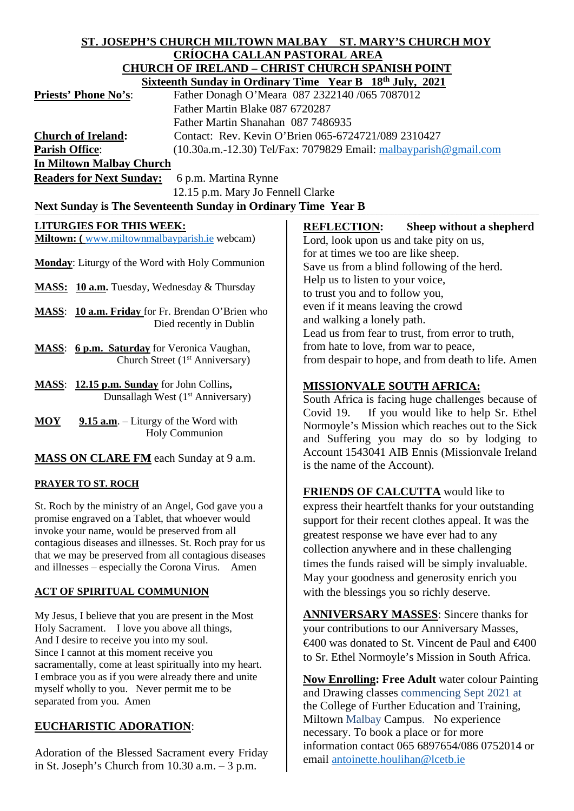#### **ST. JOSEPH'S CHURCH MILTOWN MALBAY ST. MARY'S CHURCH MOY CRÍOCHA CALLAN PASTORAL AREA CHURCH OF IRELAND – CHRIST CHURCH SPANISH POINT Sixteenth Sunday in Ordinary Time Year B 18th July, 2021**

|                                 | $DINWOMMOMOMV$ in Ordinary Thing Teal D To Gary, 2021               |
|---------------------------------|---------------------------------------------------------------------|
| <b>Priests' Phone No's:</b>     | Father Donagh O'Meara 087 2322140 /065 7087012                      |
|                                 | Father Martin Blake 087 6720287                                     |
|                                 | Father Martin Shanahan 087 7486935                                  |
| <b>Church of Ireland:</b>       | Contact: Rev. Kevin O'Brien 065-6724721/089 2310427                 |
| <b>Parish Office:</b>           | $(10.30a.m.-12.30)$ Tel/Fax: 7079829 Email: malbayparish @gmail.com |
| <b>In Miltown Malbay Church</b> |                                                                     |
|                                 |                                                                     |

**Readers for Next Sunday:** 6 p.m. Martina Rynne

12.15 p.m. Mary Jo Fennell Clarke

# Next Sunday is The Seventeenth Sunday in Ordinary Time Year B

## **LITURGIES FOR THIS WEEK:**

**Miltown: (** [www.miltownmalbayparish.ie](http://www.miltownmalbayparish.ie/) webcam)

**Monday**: Liturgy of the Word with Holy Communion

MASS: 10 a.m. Tuesday, Wednesday & Thursday

**MASS**: **10 a.m. Friday** for Fr. Brendan O'Brien who Died recently in Dublin

- **MASS**: **6 p.m. Saturday** for Veronica Vaughan, Church Street (1<sup>st</sup> Anniversary)
- **MASS**: **12.15 p.m. Sunday** for John Collins**,** Dunsallagh West  $(1<sup>st</sup>$  Anniversary)

MOY 9.15 a.m. – Liturgy of the Word with Holy Communion

**MASS ON CLARE FM** each Sunday at 9 a.m.

## **PRAYER TO ST. ROCH**

St. Roch by the ministry of an Angel, God gave you a promise engraved on a Tablet, that whoever would invoke your name, would be preserved from all contagious diseases and illnesses. St. Roch pray for us that we may be preserved from all contagious diseases and illnesses – especially the Corona Virus. Amen

## **ACT OF SPIRITUAL COMMUNION**

My Jesus, I believe that you are present in the Most Holy Sacrament. I love you above all things, And I desire to receive you into my soul. Since I cannot at this moment receive you sacramentally, come at least spiritually into my heart. I embrace you as if you were already there and unite myself wholly to you. Never permit me to be separated from you. Amen

## **EUCHARISTIC ADORATION**:

Adoration of the Blessed Sacrament every Friday in St. Joseph's Church from 10.30 a.m. – 3 p.m.

**REFLECTION: Sheep without a shepherd**

Lord, look upon us and take pity on us, for at times we too are like sheep. Save us from a blind following of the herd. Help us to listen to your voice, to trust you and to follow you, even if it means leaving the crowd and walking a lonely path. Lead us from fear to trust, from error to truth, from hate to love, from war to peace, from despair to hope, and from death to life. Amen

## **MISSIONVALE SOUTH AFRICA:**

South Africa is facing huge challenges because of Covid 19. If you would like to help Sr. Ethel Normoyle's Mission which reaches out to the Sick and Suffering you may do so by lodging to Account 1543041 AIB Ennis (Missionvale Ireland is the name of the Account).

**FRIENDS OF CALCUTTA** would like to express their heartfelt thanks for your outstanding support for their recent clothes appeal. It was the greatest response we have ever had to any collection anywhere and in these challenging times the funds raised will be simply invaluable. May your goodness and generosity enrich you with the blessings you so richly deserve.

**ANNIVERSARY MASSES**: Sincere thanks for your contributions to our Anniversary Masses,  $\epsilon$ 400 was donated to St. Vincent de Paul and  $\epsilon$ 400 to Sr. Ethel Normoyle's Mission in South Africa.

**Now Enrolling: Free Adult** water colour Painting and Drawing classes commencing Sept 2021 at the College of Further Education and Training, Miltown Malbay Campus. No experience necessary. To book a place or for more information contact 065 6897654/086 0752014 or email [antoinette.houlihan@lcetb.ie](mailto:antoinette.houlihan@lcetb.ie)